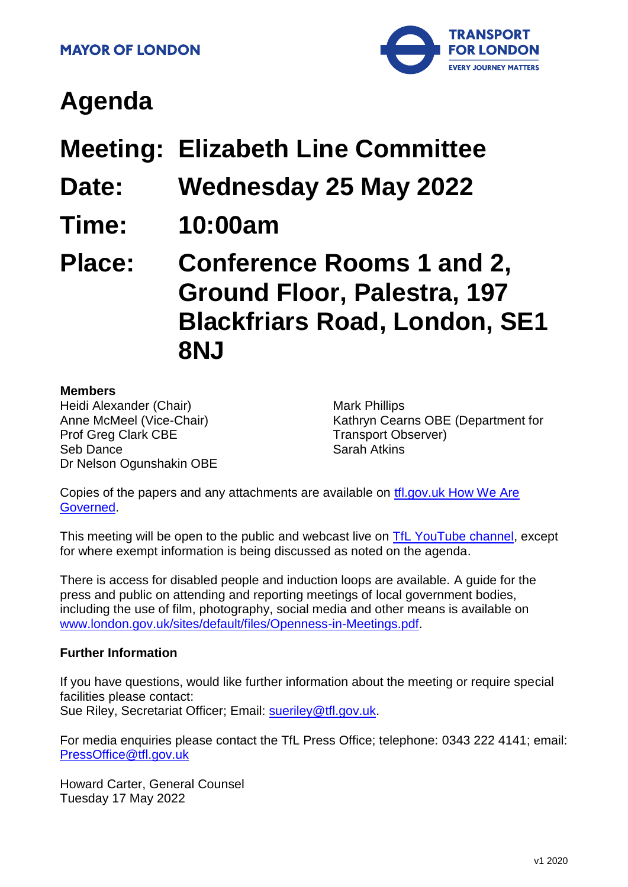

# **Agenda**

- **Meeting: Elizabeth Line Committee**
- **Date: Wednesday 25 May 2022**
- **Time: 10:00am**

**Place: Conference Rooms 1 and 2, Ground Floor, Palestra, 197 Blackfriars Road, London, SE1 8NJ**

#### **Members**

Heidi Alexander (Chair) Anne McMeel (Vice-Chair) Prof Greg Clark CBE Seb Dance Dr Nelson Ogunshakin OBE Mark Phillips Kathryn Cearns OBE (Department for Transport Observer) Sarah Atkins

Copies of the papers and any attachments are available on [tfl.gov.uk How We Are](http://www.tfl.gov.uk/corporate/about-tfl/how-we-work/how-we-are-governed)  [Governed.](http://www.tfl.gov.uk/corporate/about-tfl/how-we-work/how-we-are-governed)

This meeting will be open to the public and webcast live on [TfL YouTube channel,](https://www.youtube.com/watch?v=_2U9viPQ9WE&list=PLtnlusA0Zoggk4qvN68OcnD9k_7B8cY_d) except for where exempt information is being discussed as noted on the agenda.

There is access for disabled people and induction loops are available. A guide for the press and public on attending and reporting meetings of local government bodies, including the use of film, photography, social media and other means is available on [www.london.gov.uk/sites/default/files/Openness-in-Meetings.pdf.](http://www.london.gov.uk/sites/default/files/Openness-in-Meetings.pdf)

#### **Further Information**

If you have questions, would like further information about the meeting or require special facilities please contact: Sue Riley, Secretariat Officer; Email: [sueriley@tfl.gov.uk.](mailto:Secretariat02@tfl.gov.uk)

For media enquiries please contact the TfL Press Office; telephone: 0343 222 4141; email: [PressOffice@tfl.gov.uk](mailto:PressOffice@tfl.gov.uk)

Howard Carter, General Counsel Tuesday 17 May 2022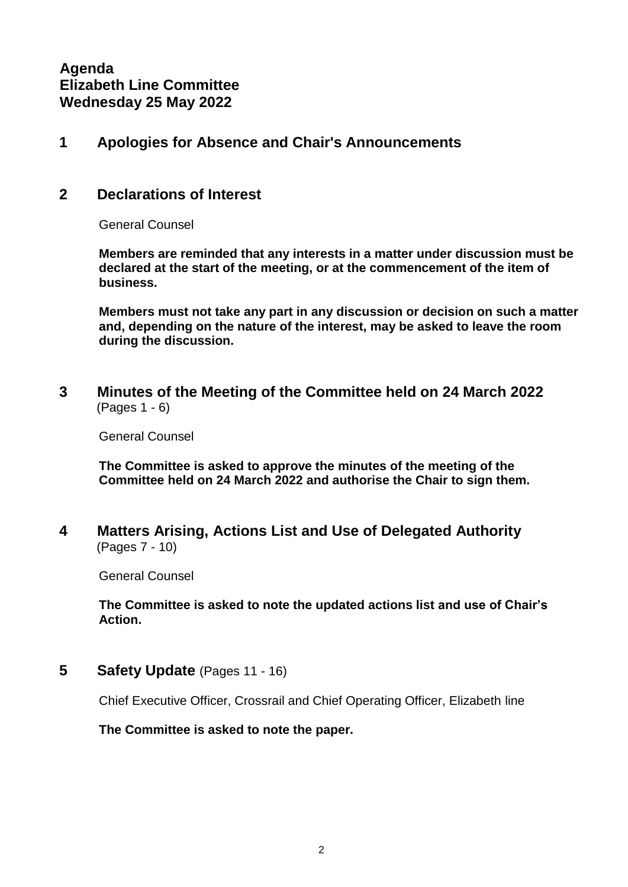**Agenda Elizabeth Line Committee Wednesday 25 May 2022**

## **1 Apologies for Absence and Chair's Announcements**

#### **2 Declarations of Interest**

General Counsel

**Members are reminded that any interests in a matter under discussion must be declared at the start of the meeting, or at the commencement of the item of business.**

**Members must not take any part in any discussion or decision on such a matter and, depending on the nature of the interest, may be asked to leave the room during the discussion.**

**3 Minutes of the Meeting of the Committee held on 24 March 2022** (Pages 1 - 6)

General Counsel

**The Committee is asked to approve the minutes of the meeting of the Committee held on 24 March 2022 and authorise the Chair to sign them.**

**4 Matters Arising, Actions List and Use of Delegated Authority** (Pages 7 - 10)

General Counsel

**The Committee is asked to note the updated actions list and use of Chair's Action.**

**5 Safety Update** (Pages 11 - 16)

Chief Executive Officer, Crossrail and Chief Operating Officer, Elizabeth line

**The Committee is asked to note the paper.**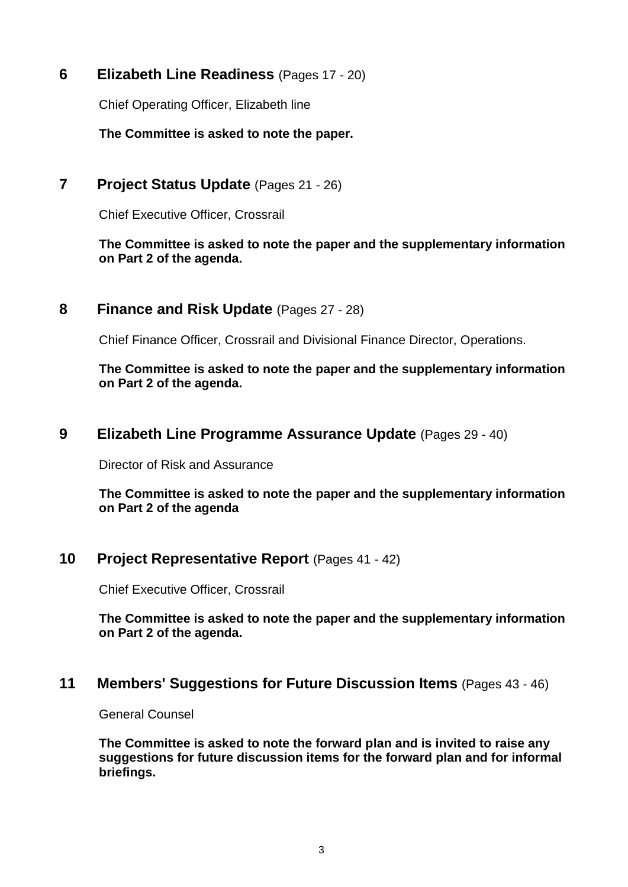**6 Elizabeth Line Readiness** (Pages 17 - 20)

Chief Operating Officer, Elizabeth line

**The Committee is asked to note the paper.**

## **7 Project Status Update** (Pages 21 - 26)

Chief Executive Officer, Crossrail

#### **The Committee is asked to note the paper and the supplementary information on Part 2 of the agenda.**

## **8 Finance and Risk Update** (Pages 27 - 28)

Chief Finance Officer, Crossrail and Divisional Finance Director, Operations.

**The Committee is asked to note the paper and the supplementary information on Part 2 of the agenda.**

## **9 Elizabeth Line Programme Assurance Update** (Pages 29 - 40)

Director of Risk and Assurance

**The Committee is asked to note the paper and the supplementary information on Part 2 of the agenda**

## **10 Project Representative Report** (Pages 41 - 42)

Chief Executive Officer, Crossrail

**The Committee is asked to note the paper and the supplementary information on Part 2 of the agenda.**

#### **11 Members' Suggestions for Future Discussion Items** (Pages 43 - 46)

General Counsel

**The Committee is asked to note the forward plan and is invited to raise any suggestions for future discussion items for the forward plan and for informal briefings.**